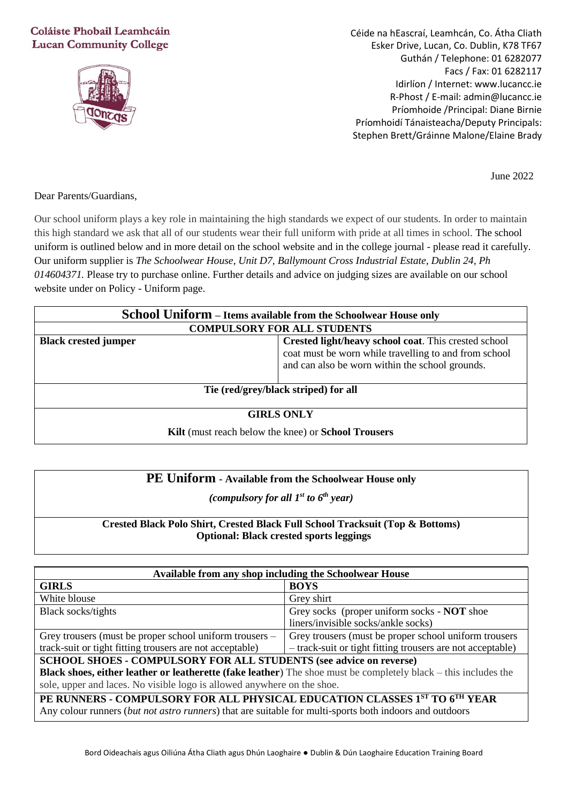## Coláiste Phobail Leamhcáin **Lucan Community College**



Céide na hEascraí, Leamhcán, Co. Átha Cliath Esker Drive, Lucan, Co. Dublin, K78 TF67 Guthán / Telephone: 01 6282077 Facs / Fax: 01 6282117 Idirlíon / Internet: www.lucancc.ie R-Phost / E-mail: admin@lucancc.ie Príomhoide /Principal: Diane Birnie Príomhoidí Tánaisteacha/Deputy Principals: Stephen Brett/Gráinne Malone/Elaine Brady

June 2022

Dear Parents/Guardians,

Our school uniform plays a key role in maintaining the high standards we expect of our students. In order to maintain this high standard we ask that all of our students wear their full uniform with pride at all times in school. The school uniform is outlined below and in more detail on the school website and in the college journal - please read it carefully. Our uniform supplier is *The Schoolwear House, Unit D7, Ballymount Cross Industrial Estate, Dublin 24, Ph 014604371.* Please try to purchase online. Further details and advice on judging sizes are available on our school website under on Policy - Uniform page.

| School Uniform - Items available from the Schoolwear House only |                                                                                                                                                                  |  |
|-----------------------------------------------------------------|------------------------------------------------------------------------------------------------------------------------------------------------------------------|--|
| <b>COMPULSORY FOR ALL STUDENTS</b>                              |                                                                                                                                                                  |  |
| <b>Black crested jumper</b>                                     | Crested light/heavy school coat. This crested school<br>coat must be worn while travelling to and from school<br>and can also be worn within the school grounds. |  |
| Tie (red/grey/black striped) for all                            |                                                                                                                                                                  |  |
| <b>GIRLS ONLY</b>                                               |                                                                                                                                                                  |  |
| Kilt (must reach below the knee) or School Trousers             |                                                                                                                                                                  |  |

| <b>PE Uniform - Available from the Schoolwear House only</b> |
|--------------------------------------------------------------|
|--------------------------------------------------------------|

*(compulsory for all 1st to 6 th year)*

## **Crested Black Polo Shirt, Crested Black Full School Tracksuit (Top & Bottoms) Optional: Black crested sports leggings**

| Available from any shop including the Schoolwear House                                                                 |                                                            |  |
|------------------------------------------------------------------------------------------------------------------------|------------------------------------------------------------|--|
| <b>GIRLS</b>                                                                                                           | <b>BOYS</b>                                                |  |
| White blouse                                                                                                           | Grey shirt                                                 |  |
| Black socks/tights                                                                                                     | Grey socks (proper uniform socks - <b>NOT</b> shoe         |  |
|                                                                                                                        | liners/invisible socks/ankle socks)                        |  |
| Grey trousers (must be proper school uniform trousers –                                                                | Grey trousers (must be proper school uniform trousers      |  |
| track-suit or tight fitting trousers are not acceptable)                                                               | - track-suit or tight fitting trousers are not acceptable) |  |
| <b>SCHOOL SHOES - COMPULSORY FOR ALL STUDENTS (see advice on reverse)</b>                                              |                                                            |  |
| <b>Black shoes, either leather or leatherette (fake leather)</b> The shoe must be completely black – this includes the |                                                            |  |
| sole, upper and laces. No visible logo is allowed anywhere on the shoe.                                                |                                                            |  |
| PE RUNNERS - COMPULSORY FOR ALL PHYSICAL EDUCATION CLASSES 1ST TO 6TH YEAR                                             |                                                            |  |
| Any colour runners (but not astro runners) that are suitable for multi-sports both indoors and outdoors                |                                                            |  |